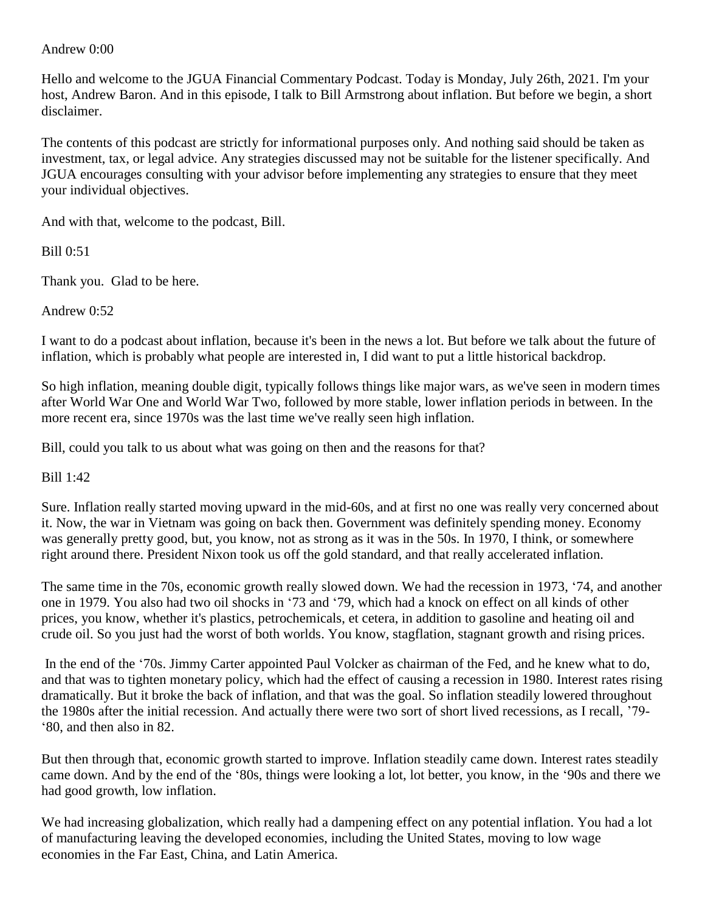## Andrew 0:00

Hello and welcome to the JGUA Financial Commentary Podcast. Today is Monday, July 26th, 2021. I'm your host, Andrew Baron. And in this episode, I talk to Bill Armstrong about inflation. But before we begin, a short disclaimer.

The contents of this podcast are strictly for informational purposes only. And nothing said should be taken as investment, tax, or legal advice. Any strategies discussed may not be suitable for the listener specifically. And JGUA encourages consulting with your advisor before implementing any strategies to ensure that they meet your individual objectives.

And with that, welcome to the podcast, Bill.

Bill 0:51

Thank you. Glad to be here.

Andrew 0:52

I want to do a podcast about inflation, because it's been in the news a lot. But before we talk about the future of inflation, which is probably what people are interested in, I did want to put a little historical backdrop.

So high inflation, meaning double digit, typically follows things like major wars, as we've seen in modern times after World War One and World War Two, followed by more stable, lower inflation periods in between. In the more recent era, since 1970s was the last time we've really seen high inflation.

Bill, could you talk to us about what was going on then and the reasons for that?

Bill 1:42

Sure. Inflation really started moving upward in the mid-60s, and at first no one was really very concerned about it. Now, the war in Vietnam was going on back then. Government was definitely spending money. Economy was generally pretty good, but, you know, not as strong as it was in the 50s. In 1970, I think, or somewhere right around there. President Nixon took us off the gold standard, and that really accelerated inflation.

The same time in the 70s, economic growth really slowed down. We had the recession in 1973, '74, and another one in 1979. You also had two oil shocks in '73 and '79, which had a knock on effect on all kinds of other prices, you know, whether it's plastics, petrochemicals, et cetera, in addition to gasoline and heating oil and crude oil. So you just had the worst of both worlds. You know, stagflation, stagnant growth and rising prices.

In the end of the '70s. Jimmy Carter appointed Paul Volcker as chairman of the Fed, and he knew what to do, and that was to tighten monetary policy, which had the effect of causing a recession in 1980. Interest rates rising dramatically. But it broke the back of inflation, and that was the goal. So inflation steadily lowered throughout the 1980s after the initial recession. And actually there were two sort of short lived recessions, as I recall, '79- '80, and then also in 82.

But then through that, economic growth started to improve. Inflation steadily came down. Interest rates steadily came down. And by the end of the '80s, things were looking a lot, lot better, you know, in the '90s and there we had good growth, low inflation.

We had increasing globalization, which really had a dampening effect on any potential inflation. You had a lot of manufacturing leaving the developed economies, including the United States, moving to low wage economies in the Far East, China, and Latin America.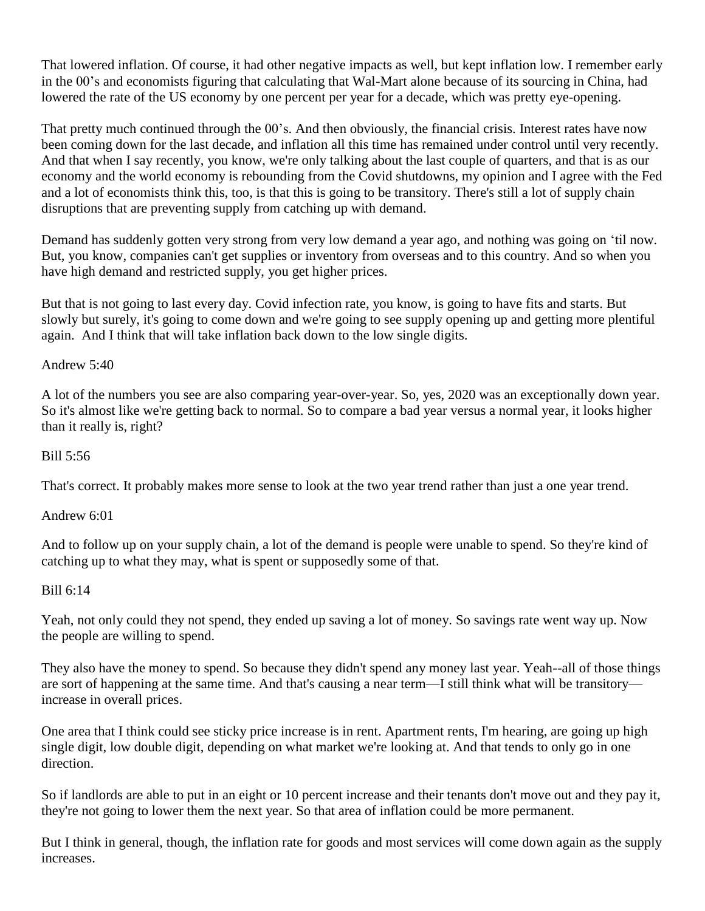That lowered inflation. Of course, it had other negative impacts as well, but kept inflation low. I remember early in the 00's and economists figuring that calculating that Wal-Mart alone because of its sourcing in China, had lowered the rate of the US economy by one percent per year for a decade, which was pretty eye-opening.

That pretty much continued through the 00's. And then obviously, the financial crisis. Interest rates have now been coming down for the last decade, and inflation all this time has remained under control until very recently. And that when I say recently, you know, we're only talking about the last couple of quarters, and that is as our economy and the world economy is rebounding from the Covid shutdowns, my opinion and I agree with the Fed and a lot of economists think this, too, is that this is going to be transitory. There's still a lot of supply chain disruptions that are preventing supply from catching up with demand.

Demand has suddenly gotten very strong from very low demand a year ago, and nothing was going on 'til now. But, you know, companies can't get supplies or inventory from overseas and to this country. And so when you have high demand and restricted supply, you get higher prices.

But that is not going to last every day. Covid infection rate, you know, is going to have fits and starts. But slowly but surely, it's going to come down and we're going to see supply opening up and getting more plentiful again. And I think that will take inflation back down to the low single digits.

# Andrew 5:40

A lot of the numbers you see are also comparing year-over-year. So, yes, 2020 was an exceptionally down year. So it's almost like we're getting back to normal. So to compare a bad year versus a normal year, it looks higher than it really is, right?

#### Bill 5:56

That's correct. It probably makes more sense to look at the two year trend rather than just a one year trend.

#### Andrew 6:01

And to follow up on your supply chain, a lot of the demand is people were unable to spend. So they're kind of catching up to what they may, what is spent or supposedly some of that.

## Bill 6:14

Yeah, not only could they not spend, they ended up saving a lot of money. So savings rate went way up. Now the people are willing to spend.

They also have the money to spend. So because they didn't spend any money last year. Yeah--all of those things are sort of happening at the same time. And that's causing a near term—I still think what will be transitory increase in overall prices.

One area that I think could see sticky price increase is in rent. Apartment rents, I'm hearing, are going up high single digit, low double digit, depending on what market we're looking at. And that tends to only go in one direction.

So if landlords are able to put in an eight or 10 percent increase and their tenants don't move out and they pay it, they're not going to lower them the next year. So that area of inflation could be more permanent.

But I think in general, though, the inflation rate for goods and most services will come down again as the supply increases.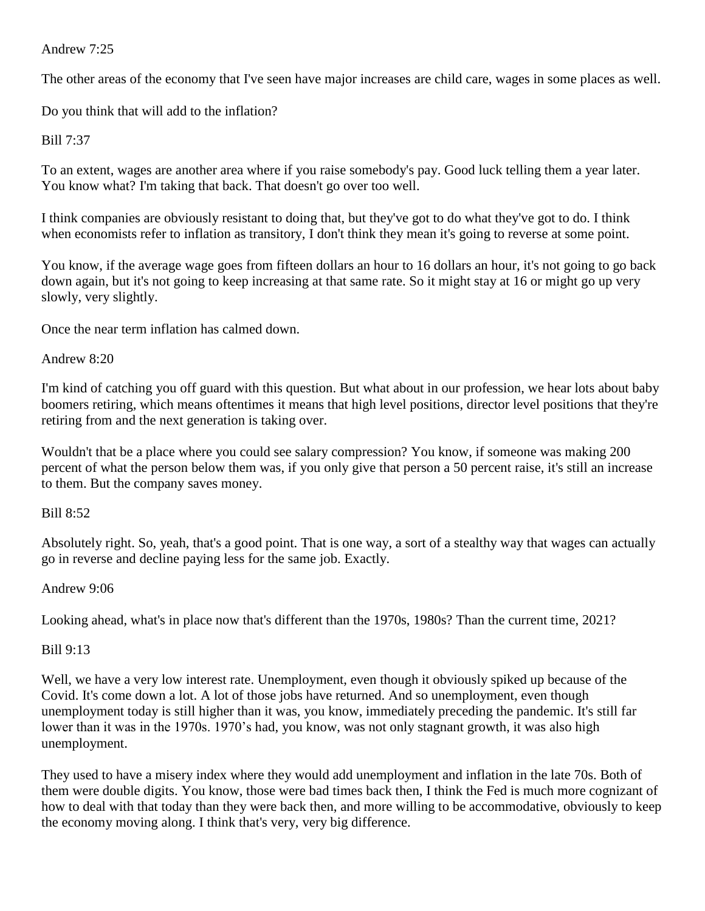# Andrew 7:25

The other areas of the economy that I've seen have major increases are child care, wages in some places as well.

Do you think that will add to the inflation?

Bill 7:37

To an extent, wages are another area where if you raise somebody's pay. Good luck telling them a year later. You know what? I'm taking that back. That doesn't go over too well.

I think companies are obviously resistant to doing that, but they've got to do what they've got to do. I think when economists refer to inflation as transitory, I don't think they mean it's going to reverse at some point.

You know, if the average wage goes from fifteen dollars an hour to 16 dollars an hour, it's not going to go back down again, but it's not going to keep increasing at that same rate. So it might stay at 16 or might go up very slowly, very slightly.

Once the near term inflation has calmed down.

# Andrew 8:20

I'm kind of catching you off guard with this question. But what about in our profession, we hear lots about baby boomers retiring, which means oftentimes it means that high level positions, director level positions that they're retiring from and the next generation is taking over.

Wouldn't that be a place where you could see salary compression? You know, if someone was making 200 percent of what the person below them was, if you only give that person a 50 percent raise, it's still an increase to them. But the company saves money.

# Bill 8:52

Absolutely right. So, yeah, that's a good point. That is one way, a sort of a stealthy way that wages can actually go in reverse and decline paying less for the same job. Exactly.

# Andrew 9:06

Looking ahead, what's in place now that's different than the 1970s, 1980s? Than the current time, 2021?

# Bill 9:13

Well, we have a very low interest rate. Unemployment, even though it obviously spiked up because of the Covid. It's come down a lot. A lot of those jobs have returned. And so unemployment, even though unemployment today is still higher than it was, you know, immediately preceding the pandemic. It's still far lower than it was in the 1970s. 1970's had, you know, was not only stagnant growth, it was also high unemployment.

They used to have a misery index where they would add unemployment and inflation in the late 70s. Both of them were double digits. You know, those were bad times back then, I think the Fed is much more cognizant of how to deal with that today than they were back then, and more willing to be accommodative, obviously to keep the economy moving along. I think that's very, very big difference.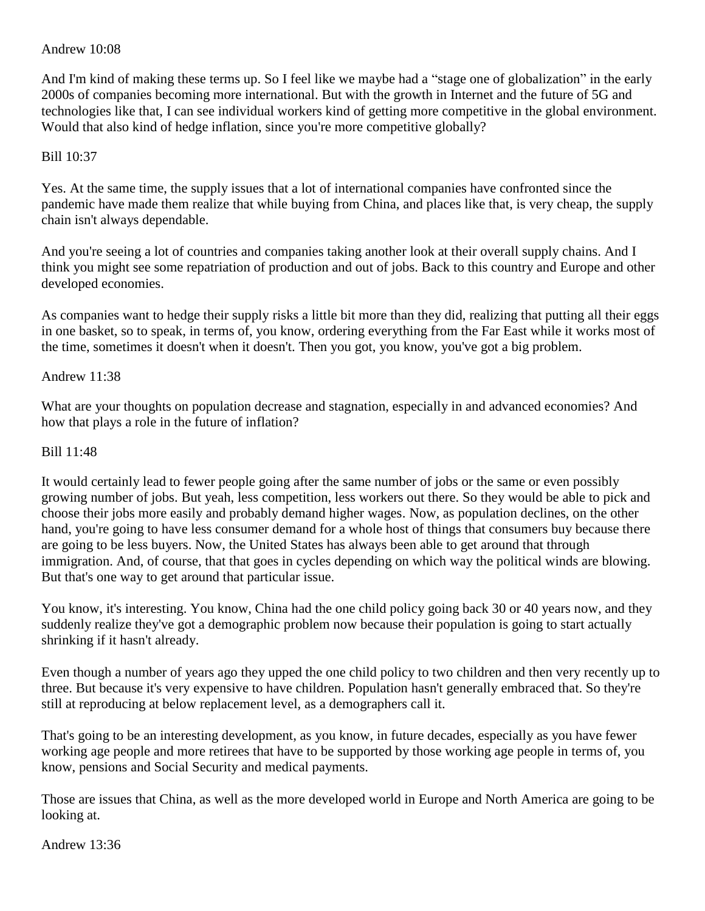## Andrew 10:08

And I'm kind of making these terms up. So I feel like we maybe had a "stage one of globalization" in the early 2000s of companies becoming more international. But with the growth in Internet and the future of 5G and technologies like that, I can see individual workers kind of getting more competitive in the global environment. Would that also kind of hedge inflation, since you're more competitive globally?

## Bill 10:37

Yes. At the same time, the supply issues that a lot of international companies have confronted since the pandemic have made them realize that while buying from China, and places like that, is very cheap, the supply chain isn't always dependable.

And you're seeing a lot of countries and companies taking another look at their overall supply chains. And I think you might see some repatriation of production and out of jobs. Back to this country and Europe and other developed economies.

As companies want to hedge their supply risks a little bit more than they did, realizing that putting all their eggs in one basket, so to speak, in terms of, you know, ordering everything from the Far East while it works most of the time, sometimes it doesn't when it doesn't. Then you got, you know, you've got a big problem.

## Andrew 11:38

What are your thoughts on population decrease and stagnation, especially in and advanced economies? And how that plays a role in the future of inflation?

#### Bill 11:48

It would certainly lead to fewer people going after the same number of jobs or the same or even possibly growing number of jobs. But yeah, less competition, less workers out there. So they would be able to pick and choose their jobs more easily and probably demand higher wages. Now, as population declines, on the other hand, you're going to have less consumer demand for a whole host of things that consumers buy because there are going to be less buyers. Now, the United States has always been able to get around that through immigration. And, of course, that that goes in cycles depending on which way the political winds are blowing. But that's one way to get around that particular issue.

You know, it's interesting. You know, China had the one child policy going back 30 or 40 years now, and they suddenly realize they've got a demographic problem now because their population is going to start actually shrinking if it hasn't already.

Even though a number of years ago they upped the one child policy to two children and then very recently up to three. But because it's very expensive to have children. Population hasn't generally embraced that. So they're still at reproducing at below replacement level, as a demographers call it.

That's going to be an interesting development, as you know, in future decades, especially as you have fewer working age people and more retirees that have to be supported by those working age people in terms of, you know, pensions and Social Security and medical payments.

Those are issues that China, as well as the more developed world in Europe and North America are going to be looking at.

Andrew 13:36